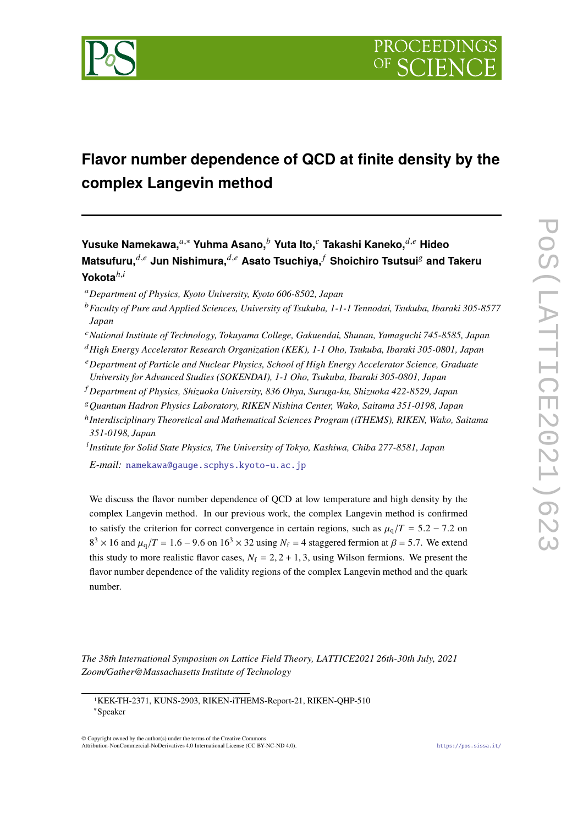

# **Flavor number dependence of QCD at finite density by the complex Langevin method**

**Yusuke Namekawa,**𝑎,<sup>∗</sup> **Yuhma Asano,**<sup>𝑏</sup> **Yuta Ito,**<sup>𝑐</sup> **Takashi Kaneko,**𝑑,𝑒 **Hideo**  $M$ Matsufuru, $^{d,e}$  Jun Nishimura, $^{d,e}$  Asato Tsuchiya, $^f$  Shoichiro Tsutsui<sup>g</sup> and Takeru **Yokota**<sup>*h,i*</sup>

<sup>𝑎</sup>*Department of Physics, Kyoto University, Kyoto 606-8502, Japan*

<sup>b</sup> Faculty of Pure and Applied Sciences, University of Tsukuba, 1-1-1 Tennodai, Tsukuba, Ibaraki 305-8577 *Japan*

<sup>𝑐</sup>*National Institute of Technology, Tokuyama College, Gakuendai, Shunan, Yamaguchi 745-8585, Japan*

<sup>𝑑</sup>*High Energy Accelerator Research Organization (KEK), 1-1 Oho, Tsukuba, Ibaraki 305-0801, Japan*

<sup>𝑒</sup>*Department of Particle and Nuclear Physics, School of High Energy Accelerator Science, Graduate*

*University for Advanced Studies (SOKENDAI), 1-1 Oho, Tsukuba, Ibaraki 305-0801, Japan*

<sup>𝑓</sup> *Department of Physics, Shizuoka University, 836 Ohya, Suruga-ku, Shizuoka 422-8529, Japan*

<sup>𝑔</sup>*Quantum Hadron Physics Laboratory, RIKEN Nishina Center, Wako, Saitama 351-0198, Japan*

ℎ *Interdisciplinary Theoretical and Mathematical Sciences Program (iTHEMS), RIKEN, Wako, Saitama 351-0198, Japan*

𝑖 *Institute for Solid State Physics, The University of Tokyo, Kashiwa, Chiba 277-8581, Japan*

*E-mail:* [namekawa@gauge.scphys.kyoto-u.ac.jp](mailto:namekawa@gauge.scphys.kyoto-u.ac.jp)

We discuss the flavor number dependence of QCD at low temperature and high density by the complex Langevin method. In our previous work, the complex Langevin method is confirmed to satisfy the criterion for correct convergence in certain regions, such as  $\mu_q/T = 5.2 - 7.2$  on  $8^3 \times 16$  and  $\mu_q/T = 1.6 - 9.6$  on  $16^3 \times 32$  using  $N_f = 4$  staggered fermion at  $\beta = 5.7$ . We extend this study to more realistic flavor cases,  $N_f = 2, 2 + 1, 3$ , using Wilson fermions. We present the flavor number dependence of the validity regions of the complex Langevin method and the quark number.

*The 38th International Symposium on Lattice Field Theory, LATTICE2021 26th-30th July, 2021 Zoom/Gather@Massachusetts Institute of Technology*

© Copyright owned by the author(s) under the terms of the Creative Commons Attribution-NonCommercial-NoDerivatives 4.0 International License (CC BY-NC-ND 4.0). <https://pos.sissa.it/>

<sup>1</sup>KEK-TH-2371, KUNS-2903, RIKEN-iTHEMS-Report-21, RIKEN-QHP-510

<sup>∗</sup>Speaker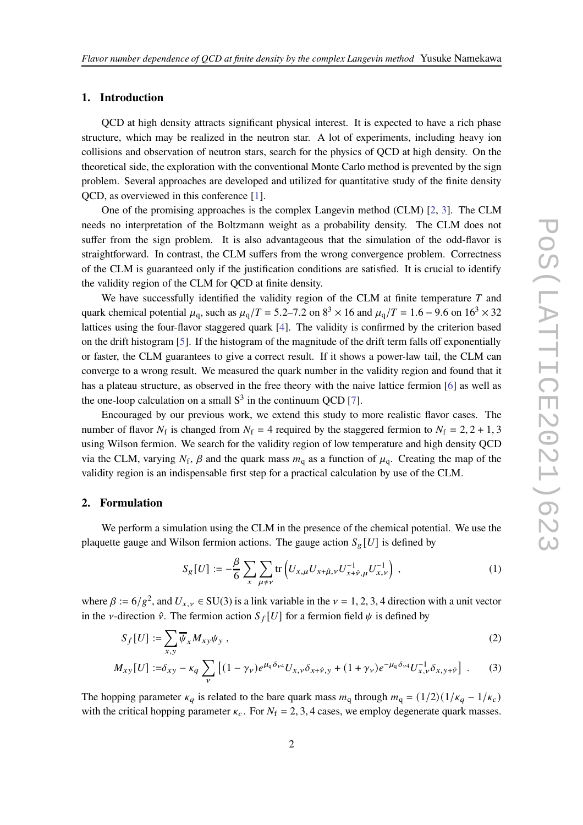## **1. Introduction**

QCD at high density attracts significant physical interest. It is expected to have a rich phase structure, which may be realized in the neutron star. A lot of experiments, including heavy ion collisions and observation of neutron stars, search for the physics of QCD at high density. On the theoretical side, the exploration with the conventional Monte Carlo method is prevented by the sign problem. Several approaches are developed and utilized for quantitative study of the finite density QCD, as overviewed in this conference [\[1](#page-7-0)].

One of the promising approaches is the complex Langevin method (CLM) [\[2,](#page-7-1) [3](#page-7-2)]. The CLM needs no interpretation of the Boltzmann weight as a probability density. The CLM does not suffer from the sign problem. It is also advantageous that the simulation of the odd-flavor is straightforward. In contrast, the CLM suffers from the wrong convergence problem. Correctness of the CLM is guaranteed only if the justification conditions are satisfied. It is crucial to identify the validity region of the CLM for QCD at finite density.

We have successfully identified the validity region of the CLM at finite temperature  $T$  and quark chemical potential  $\mu_q$ , such as  $\mu_q/T = 5.2$ –7.2 on  $8^3 \times 16$  and  $\mu_q/T = 1.6$  – 9.6 on  $16^3 \times 32$ lattices using the four-flavor staggered quark [\[4\]](#page-7-3). The validity is confirmed by the criterion based on the drift histogram [\[5](#page-7-4)]. If the histogram of the magnitude of the drift term falls off exponentially or faster, the CLM guarantees to give a correct result. If it shows a power-law tail, the CLM can converge to a wrong result. We measured the quark number in the validity region and found that it has a plateau structure, as observed in the free theory with the naive lattice fermion [\[6](#page-7-5)] as well as the one-loop calculation on a small  $S<sup>3</sup>$  in the continuum QCD [\[7\]](#page-8-0).

Encouraged by our previous work, we extend this study to more realistic flavor cases. The number of flavor  $N_f$  is changed from  $N_f = 4$  required by the staggered fermion to  $N_f = 2, 2 + 1, 3$ using Wilson fermion. We search for the validity region of low temperature and high density QCD via the CLM, varying  $N_f$ ,  $\beta$  and the quark mass  $m_q$  as a function of  $\mu_q$ . Creating the map of the validity region is an indispensable first step for a practical calculation by use of the CLM.

#### **2. Formulation**

We perform a simulation using the CLM in the presence of the chemical potential. We use the plaquette gauge and Wilson fermion actions. The gauge action  $S_g[U]$  is defined by

$$
S_{g}[U] := -\frac{\beta}{6} \sum_{x} \sum_{\mu \neq \nu} \text{tr}\left( U_{x,\mu} U_{x+\hat{\mu},\nu} U_{x+\hat{\nu},\mu}^{-1} U_{x,\nu}^{-1} \right) , \qquad (1)
$$

where  $\beta := 6/g^2$ , and  $U_{x,y} \in SU(3)$  is a link variable in the  $\nu = 1, 2, 3, 4$  direction with a unit vector in the *v*-direction  $\hat{v}$ . The fermion action  $S_f[U]$  for a fermion field  $\psi$  is defined by

$$
S_f[U] := \sum_{x,y} \overline{\psi}_x M_{xy} \psi_y , \qquad (2)
$$

$$
M_{xy}[U] := \delta_{xy} - \kappa_q \sum_{\nu} \left[ (1 - \gamma_{\nu}) e^{\mu_q \delta_{\nu 4}} U_{x,\nu} \delta_{x + \hat{\nu},y} + (1 + \gamma_{\nu}) e^{-\mu_q \delta_{\nu 4}} U_{x,\nu}^{-1} \delta_{x,y + \hat{\nu}} \right] \ . \tag{3}
$$

The hopping parameter  $\kappa_q$  is related to the bare quark mass  $m_q$  through  $m_q = (1/2)(1/\kappa_q - 1/\kappa_c)$ with the critical hopping parameter  $\kappa_c$ . For  $N_f = 2, 3, 4$  cases, we employ degenerate quark masses.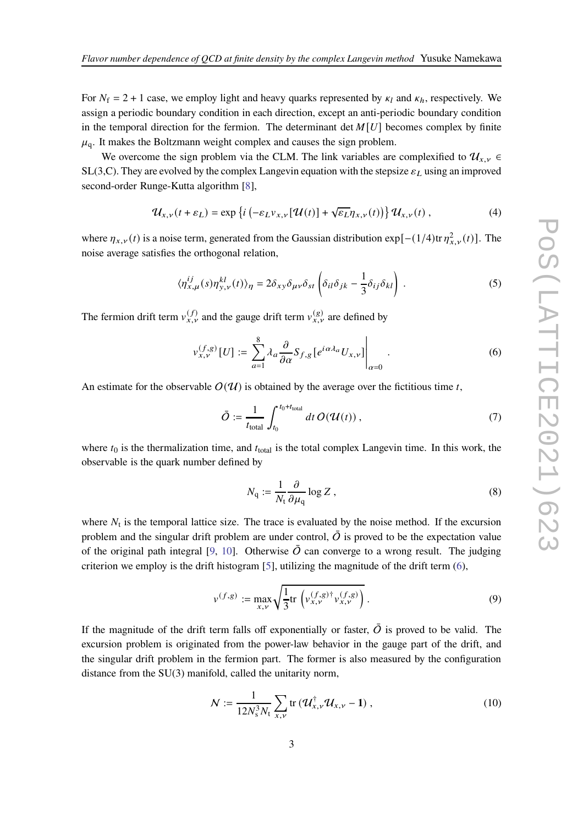For  $N_f = 2 + 1$  case, we employ light and heavy quarks represented by  $\kappa_l$  and  $\kappa_h$ , respectively. We assign a periodic boundary condition in each direction, except an anti-periodic boundary condition in the temporal direction for the fermion. The determinant det  $M[U]$  becomes complex by finite  $\mu_{q}$ . It makes the Boltzmann weight complex and causes the sign problem.

We overcome the sign problem via the CLM. The link variables are complexified to  $\mathcal{U}_{x,y}$  ∈ SL(3,C). They are evolved by the complex Langevin equation with the stepsize  $\varepsilon_L$  using an improved second-order Runge-Kutta algorithm [\[8\]](#page-8-1),

$$
\mathcal{U}_{x,\nu}(t+\varepsilon_L) = \exp\left\{i\left(-\varepsilon_L v_{x,\nu}[\mathcal{U}(t)] + \sqrt{\varepsilon_L}\eta_{x,\nu}(t)\right)\right\}\mathcal{U}_{x,\nu}(t) ,\qquad (4)
$$

where  $\eta_{x,y}(t)$  is a noise term, generated from the Gaussian distribution exp[-(1/4)tr  $\eta_{x,y}^2(t)$ ]. The noise average satisfies the orthogonal relation,

$$
\langle \eta_{x,\mu}^{ij}(s)\eta_{y,\nu}^{kl}(t)\rangle_{\eta} = 2\delta_{xy}\delta_{\mu\nu}\delta_{st} \left(\delta_{il}\delta_{jk} - \frac{1}{3}\delta_{ij}\delta_{kl}\right) . \tag{5}
$$

The fermion drift term  $v_{x,v}^{(f)}$  and the gauge drift term  $v_{x,v}^{(g)}$  are defined by

<span id="page-2-0"></span>
$$
v_{x,\nu}^{(f,g)}[U] := \sum_{a=1}^{8} \lambda_a \frac{\partial}{\partial \alpha} S_{f,g} \left[ e^{i\alpha \lambda_a} U_{x,\nu} \right] \Big|_{\alpha=0} . \tag{6}
$$

An estimate for the observable  $O(U)$  is obtained by the average over the fictitious time t,

$$
\bar{O} := \frac{1}{t_{\text{total}}} \int_{t_0}^{t_0 + t_{\text{total}}} dt \, O(\mathcal{U}(t)), \qquad (7)
$$

where  $t_0$  is the thermalization time, and  $t_{total}$  is the total complex Langevin time. In this work, the observable is the quark number defined by

<span id="page-2-3"></span>
$$
N_{\mathbf{q}} := \frac{1}{N_{\mathbf{t}}} \frac{\partial}{\partial \mu_{\mathbf{q}}} \log Z , \qquad (8)
$$

where  $N_t$  is the temporal lattice size. The trace is evaluated by the noise method. If the excursion problem and the singular drift problem are under control,  $\overline{O}$  is proved to be the expectation value of the original path integral [\[9](#page-8-2), [10\]](#page-8-3). Otherwise  $\overline{O}$  can converge to a wrong result. The judging criterion we employ is the drift histogram [\[5\]](#page-7-4), utilizing the magnitude of the drift term  $(6)$ ,

<span id="page-2-1"></span>
$$
v^{(f,g)} := \max_{x,\nu} \sqrt{\frac{1}{3}} \text{tr} \left( v_{x,\nu}^{(f,g)\dagger} v_{x,\nu}^{(f,g)} \right). \tag{9}
$$

If the magnitude of the drift term falls off exponentially or faster,  $\overline{O}$  is proved to be valid. The excursion problem is originated from the power-law behavior in the gauge part of the drift, and the singular drift problem in the fermion part. The former is also measured by the configuration distance from the SU(3) manifold, called the unitarity norm,

<span id="page-2-2"></span>
$$
N := \frac{1}{12N_s^3 N_t} \sum_{x,\nu} \text{tr} \left( \mathcal{U}_{x,\nu}^{\dagger} \mathcal{U}_{x,\nu} - 1 \right), \tag{10}
$$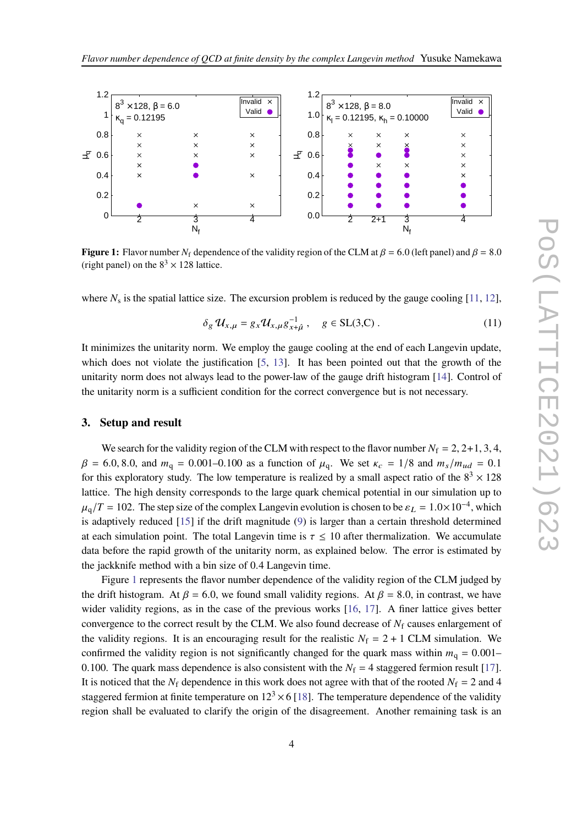<span id="page-3-0"></span>

**Figure 1:** Flavor number  $N_f$  dependence of the validity region of the CLM at  $\beta = 6.0$  (left panel) and  $\beta = 8.0$ (right panel) on the  $8<sup>3</sup> \times 128$  lattice.

where  $N_s$  is the spatial lattice size. The excursion problem is reduced by the gauge cooling [\[11](#page-8-4), [12](#page-8-5)],

$$
\delta_g \mathcal{U}_{x,\mu} = g_x \mathcal{U}_{x,\mu} g_{x+\hat{\mu}}^{-1}, \quad g \in SL(3, \mathbb{C}) . \tag{11}
$$

It minimizes the unitarity norm. We employ the gauge cooling at the end of each Langevin update, which does not violate the justification [\[5,](#page-7-4) [13](#page-8-6)]. It has been pointed out that the growth of the unitarity norm does not always lead to the power-law of the gauge drift histogram [\[14](#page-8-7)]. Control of the unitarity norm is a sufficient condition for the correct convergence but is not necessary.

#### **3. Setup and result**

We search for the validity region of the CLM with respect to the flavor number  $N_f = 2, 2+1, 3, 4$ ,  $\beta = 6.0, 8.0,$  and  $m_q = 0.001 - 0.100$  as a function of  $\mu_q$ . We set  $\kappa_c = 1/8$  and  $m_s/m_{ud} = 0.1$ for this exploratory study. The low temperature is realized by a small aspect ratio of the  $8<sup>3</sup> \times 128$ lattice. The high density corresponds to the large quark chemical potential in our simulation up to  $\mu_{\rm q}/T = 102$ . The step size of the complex Langevin evolution is chosen to be  $\varepsilon_L = 1.0 \times 10^{-4}$ , which is adaptively reduced [\[15](#page-8-8)] if the drift magnitude [\(9\)](#page-2-1) is larger than a certain threshold determined at each simulation point. The total Langevin time is  $\tau \leq 10$  after thermalization. We accumulate data before the rapid growth of the unitarity norm, as explained below. The error is estimated by the jackknife method with a bin size of 0.4 Langevin time.

Figure [1](#page-3-0) represents the flavor number dependence of the validity region of the CLM judged by the drift histogram. At  $\beta = 6.0$ , we found small validity regions. At  $\beta = 8.0$ , in contrast, we have wider validity regions, as in the case of the previous works [\[16,](#page-8-9) [17\]](#page-8-10). A finer lattice gives better convergence to the correct result by the CLM. We also found decrease of  $N_f$  causes enlargement of the validity regions. It is an encouraging result for the realistic  $N_f = 2 + 1$  CLM simulation. We confirmed the validity region is not significantly changed for the quark mass within  $m_q = 0.001-$ 0.100. The quark mass dependence is also consistent with the  $N_f = 4$  staggered fermion result [\[17](#page-8-10)]. It is noticed that the  $N_f$  dependence in this work does not agree with that of the rooted  $N_f = 2$  and 4 staggered fermion at finite temperature on  $12<sup>3</sup> \times 6$  [\[18](#page-8-11)]. The temperature dependence of the validity region shall be evaluated to clarify the origin of the disagreement. Another remaining task is an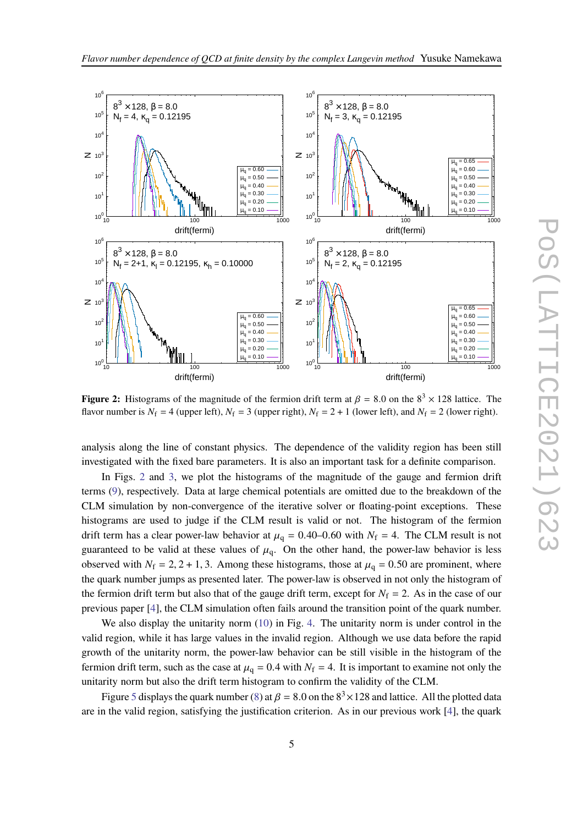

<span id="page-4-0"></span>

**Figure 2:** Histograms of the magnitude of the fermion drift term at  $\beta = 8.0$  on the  $8^3 \times 128$  lattice. The flavor number is  $N_f = 4$  (upper left),  $N_f = 3$  (upper right),  $N_f = 2 + 1$  (lower left), and  $N_f = 2$  (lower right).

analysis along the line of constant physics. The dependence of the validity region has been still investigated with the fixed bare parameters. It is also an important task for a definite comparison.

In Figs. [2](#page-4-0) and [3,](#page-5-0) we plot the histograms of the magnitude of the gauge and fermion drift terms [\(9\)](#page-2-1), respectively. Data at large chemical potentials are omitted due to the breakdown of the CLM simulation by non-convergence of the iterative solver or floating-point exceptions. These histograms are used to judge if the CLM result is valid or not. The histogram of the fermion drift term has a clear power-law behavior at  $\mu_q = 0.40{\text -}0.60$  with  $N_f = 4$ . The CLM result is not guaranteed to be valid at these values of  $\mu_q$ . On the other hand, the power-law behavior is less observed with  $N_f = 2, 2 + 1, 3$ . Among these histograms, those at  $\mu_q = 0.50$  are prominent, where the quark number jumps as presented later. The power-law is observed in not only the histogram of the fermion drift term but also that of the gauge drift term, except for  $N_f = 2$ . As in the case of our previous paper [\[4](#page-7-3)], the CLM simulation often fails around the transition point of the quark number.

We also display the unitarity norm [\(10\)](#page-2-2) in Fig. [4.](#page-6-0) The unitarity norm is under control in the valid region, while it has large values in the invalid region. Although we use data before the rapid growth of the unitarity norm, the power-law behavior can be still visible in the histogram of the fermion drift term, such as the case at  $\mu_q = 0.4$  with  $N_f = 4$ . It is important to examine not only the unitarity norm but also the drift term histogram to confirm the validity of the CLM.

Figure [5](#page-6-1) displays the quark number [\(8\)](#page-2-3) at  $\beta = 8.0$  on the  $8<sup>3</sup> \times 128$  and lattice. All the plotted data are in the valid region, satisfying the justification criterion. As in our previous work [\[4\]](#page-7-3), the quark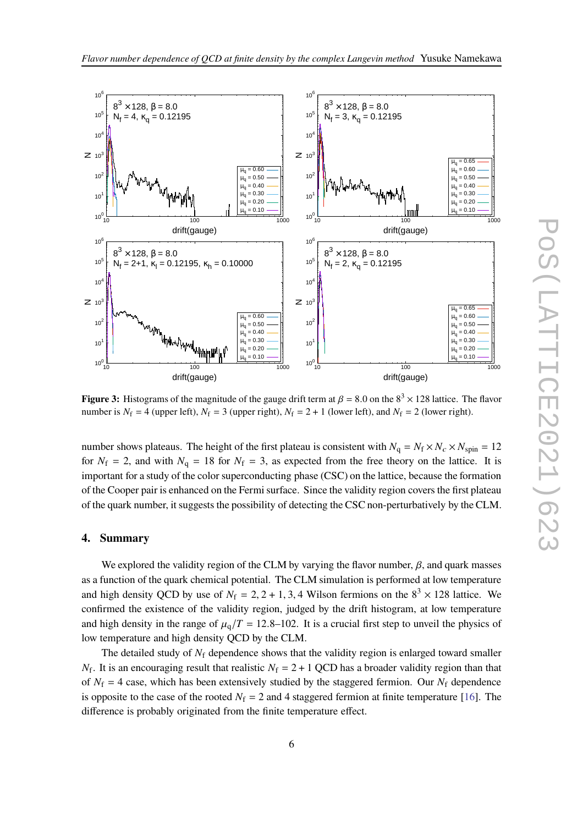

<span id="page-5-0"></span>

**Figure 3:** Histograms of the magnitude of the gauge drift term at  $\beta = 8.0$  on the  $8<sup>3</sup> \times 128$  lattice. The flavor number is  $N_f = 4$  (upper left),  $N_f = 3$  (upper right),  $N_f = 2 + 1$  (lower left), and  $N_f = 2$  (lower right).

number shows plateaus. The height of the first plateau is consistent with  $N_q = N_f \times N_c \times N_{spin} = 12$ for  $N_f = 2$ , and with  $N_q = 18$  for  $N_f = 3$ , as expected from the free theory on the lattice. It is important for a study of the color superconducting phase (CSC) on the lattice, because the formation of the Cooper pair is enhanced on the Fermi surface. Since the validity region covers the first plateau of the quark number, it suggests the possibility of detecting the CSC non-perturbatively by the CLM.

#### **4. Summary**

We explored the validity region of the CLM by varying the flavor number,  $\beta$ , and quark masses as a function of the quark chemical potential. The CLM simulation is performed at low temperature and high density QCD by use of  $N_f = 2, 2 + 1, 3, 4$  Wilson fermions on the  $8<sup>3</sup> \times 128$  lattice. We confirmed the existence of the validity region, judged by the drift histogram, at low temperature and high density in the range of  $\mu_q/T = 12.8-102$ . It is a crucial first step to unveil the physics of low temperature and high density QCD by the CLM.

The detailed study of  $N_f$  dependence shows that the validity region is enlarged toward smaller  $N_f$ . It is an encouraging result that realistic  $N_f = 2 + 1$  QCD has a broader validity region than that of  $N_f = 4$  case, which has been extensively studied by the staggered fermion. Our  $N_f$  dependence is opposite to the case of the rooted  $N_f = 2$  and 4 staggered fermion at finite temperature [\[16\]](#page-8-9). The difference is probably originated from the finite temperature effect.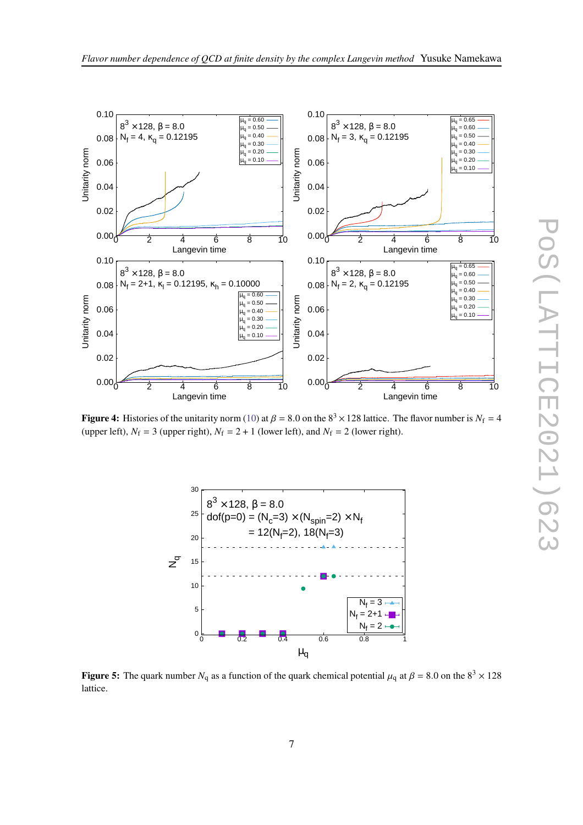

<span id="page-6-0"></span>

<span id="page-6-1"></span>**Figure 4:** Histories of the unitarity norm [\(10\)](#page-2-2) at  $\beta = 8.0$  on the  $8^3 \times 128$  lattice. The flavor number is  $N_f = 4$ (upper left),  $N_f = 3$  (upper right),  $N_f = 2 + 1$  (lower left), and  $N_f = 2$  (lower right).



**Figure 5:** The quark number  $N_q$  as a function of the quark chemical potential  $\mu_q$  at  $\beta = 8.0$  on the  $8^3 \times 128$ lattice.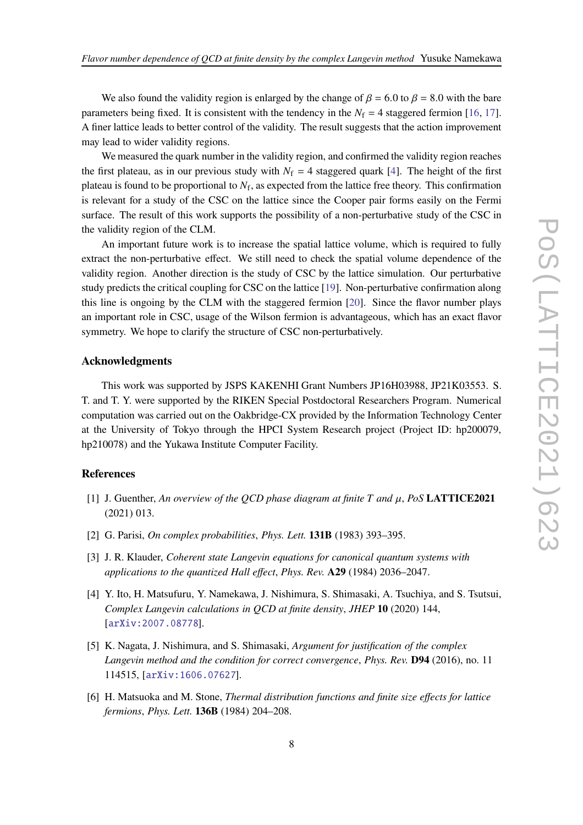We also found the validity region is enlarged by the change of  $\beta = 6.0$  to  $\beta = 8.0$  with the bare parameters being fixed. It is consistent with the tendency in the  $N_f = 4$  staggered fermion [\[16](#page-8-9), [17](#page-8-10)]. A finer lattice leads to better control of the validity. The result suggests that the action improvement may lead to wider validity regions.

We measured the quark number in the validity region, and confirmed the validity region reaches the first plateau, as in our previous study with  $N_f = 4$  staggered quark [\[4](#page-7-3)]. The height of the first plateau is found to be proportional to  $N_f$ , as expected from the lattice free theory. This confirmation is relevant for a study of the CSC on the lattice since the Cooper pair forms easily on the Fermi surface. The result of this work supports the possibility of a non-perturbative study of the CSC in the validity region of the CLM.

An important future work is to increase the spatial lattice volume, which is required to fully extract the non-perturbative effect. We still need to check the spatial volume dependence of the validity region. Another direction is the study of CSC by the lattice simulation. Our perturbative study predicts the critical coupling for CSC on the lattice [\[19](#page-8-12)]. Non-perturbative confirmation along this line is ongoing by the CLM with the staggered fermion [\[20](#page-8-13)]. Since the flavor number plays an important role in CSC, usage of the Wilson fermion is advantageous, which has an exact flavor symmetry. We hope to clarify the structure of CSC non-perturbatively.

# **Acknowledgments**

This work was supported by JSPS KAKENHI Grant Numbers JP16H03988, JP21K03553. S. T. and T. Y. were supported by the RIKEN Special Postdoctoral Researchers Program. Numerical computation was carried out on the Oakbridge-CX provided by the Information Technology Center at the University of Tokyo through the HPCI System Research project (Project ID: hp200079, hp210078) and the Yukawa Institute Computer Facility.

## **References**

- <span id="page-7-0"></span>[1] J. Guenther, An overview of the QCD phase diagram at finite  $T$  and  $\mu$ , PoS **LATTICE2021** (2021) 013.
- <span id="page-7-1"></span>[2] G. Parisi, *On complex probabilities*, *Phys. Lett.* **131B** (1983) 393–395.
- <span id="page-7-2"></span>[3] J. R. Klauder, *Coherent state Langevin equations for canonical quantum systems with applications to the quantized Hall effect*, *Phys. Rev.* **A29** (1984) 2036–2047.
- <span id="page-7-3"></span>[4] Y. Ito, H. Matsufuru, Y. Namekawa, J. Nishimura, S. Shimasaki, A. Tsuchiya, and S. Tsutsui, *Complex Langevin calculations in QCD at finite density*, *JHEP* **10** (2020) 144, [[arXiv:2007.08778](http://arxiv.org/abs/2007.08778)].
- <span id="page-7-4"></span>[5] K. Nagata, J. Nishimura, and S. Shimasaki, *Argument for justification of the complex Langevin method and the condition for correct convergence*, *Phys. Rev.* **D94** (2016), no. 11 114515, [[arXiv:1606.07627](http://arxiv.org/abs/1606.07627)].
- <span id="page-7-5"></span>[6] H. Matsuoka and M. Stone, *Thermal distribution functions and finite size effects for lattice fermions*, *Phys. Lett.* **136B** (1984) 204–208.